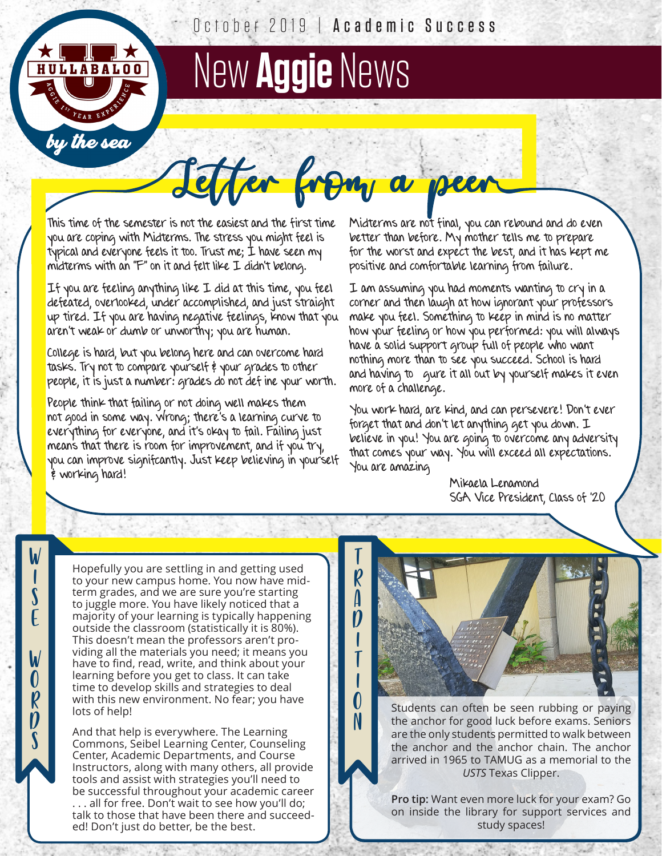

W |<br>| S  $\overline{\epsilon}$ 

W O  $R$  $\ddot{\bm{\mathcal{D}}}$  $\tilde{\mathbf{S}}$ 

October 2019 | Academic Success

Effer from a peer

T R  $\overline{\mathbf{a}}$  $\ddot{\bm{p}}$ I T I  $\overline{\mathbf{0}}$ N

## New **Aggie** News

This time of the semester is not the easiest and the first time you are coping with Midterms. The stress you might feel is typical and everyone feels it too. Trust me; I have seen my midterms with an "F" on it and felt like I didn't belong.

If you are feeling anything like I did at this time, you feel defeated, overlooked, under accomplished, and just straight up tired. If you are having negative feelings, know that you aren't weak or dumb or unworthy; you are human.

College is hard, but you belong here and can overcome hard tasks. Try not to compare yourself & your grades to other people, it is just a number: grades do not def ine your worth.

People think that failing or not doing well makes them not good in some way. Wrong; there's a learning curve to everything for everyone, and it's okay to fail. Failing just means that there is room for improvement, and if you try, you can improve signifcantly. Just keep believing in yourself  $\frac{2}{7}$  working hard!

Midterms are not final, you can rebound and do even better than before. My mother tells me to prepare for the worst and expect the best, and it has kept me positive and comfortable learning from failure.

I am assuming you had moments wanting to cry in a corner and then laugh at how ignorant your professors make you feel. Something to keep in mind is no matter how your feeling or how you performed: you will always have a solid support group full of people who want nothing more than to see you succeed. School is hard and having to gure it all out by yourself makes it even more of a challenge.

You work hard, are kind, and can persevere! Don't ever forget that and don't let anything get you down. I believe in you! You are going to overcome any adversity that comes your way. You will exceed all expectations. You are amazing

> Mikaela Lenamond SGA Vice President, Class of '20

Hopefully you are settling in and getting used to your new campus home. You now have midterm grades, and we are sure you're starting to juggle more. You have likely noticed that a majority of your learning is typically happening outside the classroom (statistically it is 80%). This doesn't mean the professors aren't providing all the materials you need; it means you have to find, read, write, and think about your learning before you get to class. It can take time to develop skills and strategies to deal with this new environment. No fear; you have lots of help!

And that help is everywhere. The Learning Commons, Seibel Learning Center, Counseling Center, Academic Departments, and Course Instructors, along with many others, all provide tools and assist with strategies you'll need to be successful throughout your academic career . all for free. Don't wait to see how you'll do; talk to those that have been there and succeeded! Don't just do better, be the best.

Students can often be seen rubbing or paying the anchor for good luck before exams. Seniors are the only students permitted to walk between the anchor and the anchor chain. The anchor arrived in 1965 to TAMUG as a memorial to the *USTS* Texas Clipper.

**Pro tip:** Want even more luck for your exam? Go on inside the library for support services and study spaces!